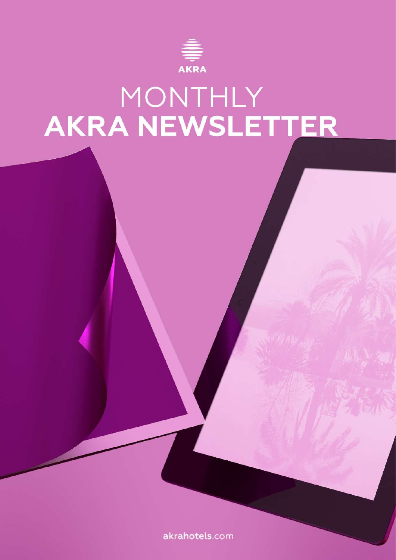

# MONTHLY<br>AKRA NEWSLETTER

akrahotels.com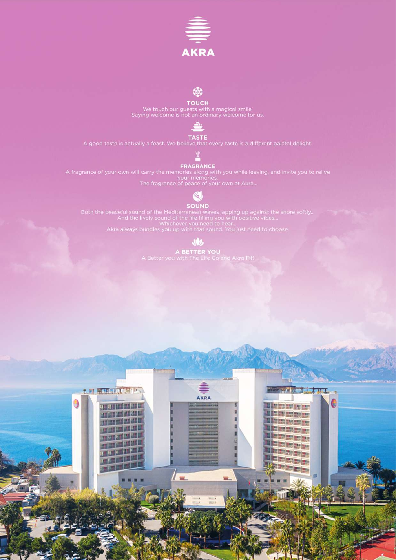

**TOUCH**<br>We touch our guests with a magical smile.<br>Saying welcome is not an ordinary welcome for us.



**TASTE**<br>A good taste is actually a feast. We believe that every taste is a different palatal delight.

**FRAGRANCE**<br>A fragrance of your own will carry the memories along with you while leaving, and invite you to relive<br>The fragrance of peace of your own at Akra...

#### 61

SOUND<br>Both the peaceful sound of the Mediterranean waves lapping up against the shore softly.<br>And the lively sound of the life filling you with positive vibes...<br>Akra always bundles you up with that sound. You just need to

JOJ.

A BETTER YOU<br>A Better you with The Life Co and Akra Fit!

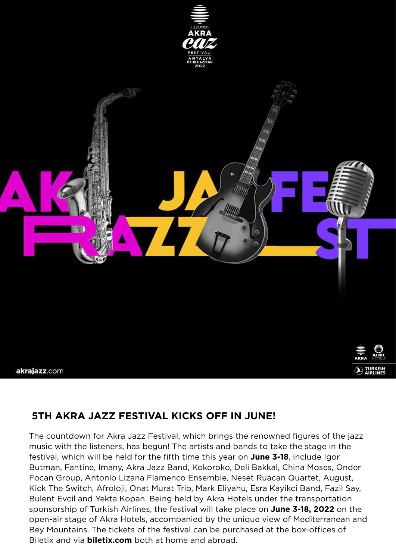



### **5TH AKRA JAZZ FESTIVAL KICKS OFF IN JUNE!**

The countdown for Akra Jazz Festival, which brings the renowned figures of the jazz music with the listeners, has begun! The artists and bands to take the stage in the festival, which will be held for the fifth time this year on **June 3-18**, include Igor Butman, Fantine, Imany, Akra Jazz Band, Kokoroko, Deli Bakkal, China Moses, Onder Focan Group, Antonio Lizana Flamenco Ensemble, Neset Ruacan Quartet, August, Kick The Switch, Afroloji, Onat Murat Trio, Mark Eliyahu, Esra Kayikci Band, Fazil Say, Bulent Evcil and Yekta Kopan. Being held by Akra Hotels under the transportation sponsorship of Turkish Airlines, the festival will take place on **June 3-18, 2022** on the open-air stage of Akra Hotels, accompanied by the unique view of Mediterranean and Bey Mountains. The tickets of the festival can be purchased at the box-offices of Biletix and via **biletix.com** both at home and abroad.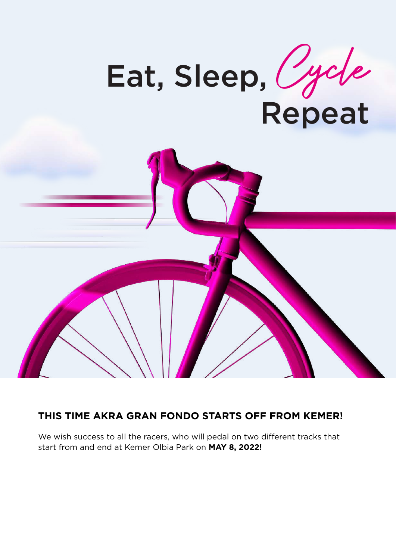



#### **THIS TIME AKRA GRAN FONDO STARTS OFF FROM KEMER!**

We wish success to all the racers, who will pedal on two different tracks that start from and end at Kemer Olbia Park on **MAY 8, 2022!**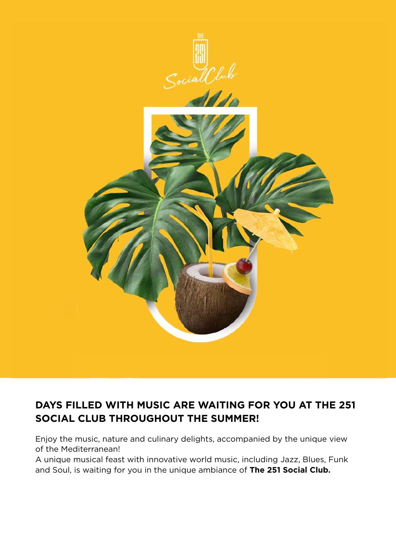

### **DAYS FILLED WITH MUSIC ARE WAITING FOR YOU AT THE 251 SOCIAL CLUB THROUGHOUT THE SUMMER!**

Enjoy the music, nature and culinary delights, accompanied by the unique view of the Mediterranean!

A unique musical feast with innovative world music, including Jazz, Blues, Funk and Soul, is waiting for you in the unique ambiance of **The 251 Social Club.**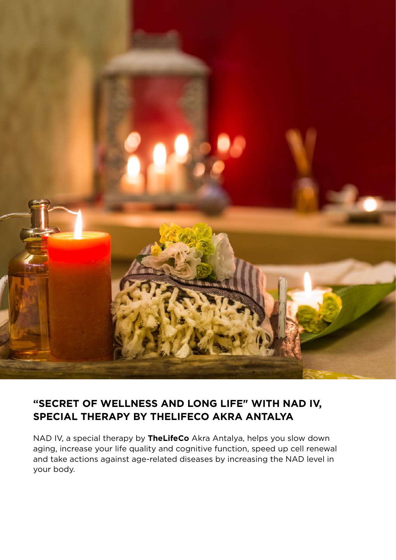

### **"SECRET OF WELLNESS AND LONG LIFE" WITH NAD IV, SPECIAL THERAPY BY THELIFECO AKRA ANTALYA**

NAD IV, a special therapy by **TheLifeCo** Akra Antalya, helps you slow down aging, increase your life quality and cognitive function, speed up cell renewal and take actions against age-related diseases by increasing the NAD level in your body.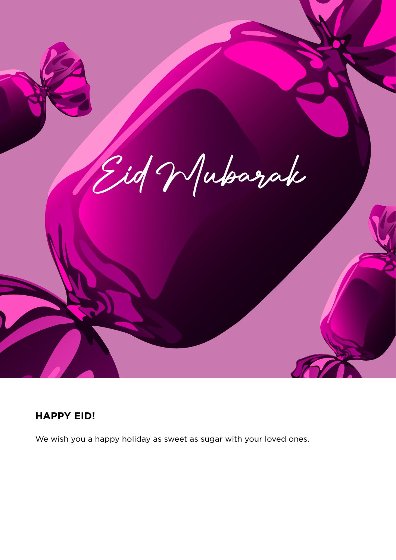

#### **HAPPY EID!**

We wish you a happy holiday as sweet as sugar with your loved ones.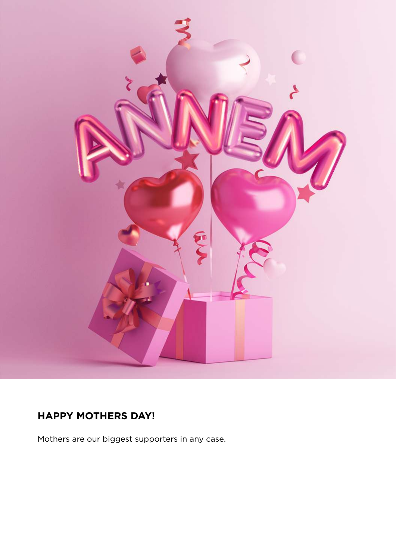

## **HAPPY MOTHERS DAY!**

Mothers are our biggest supporters in any case.